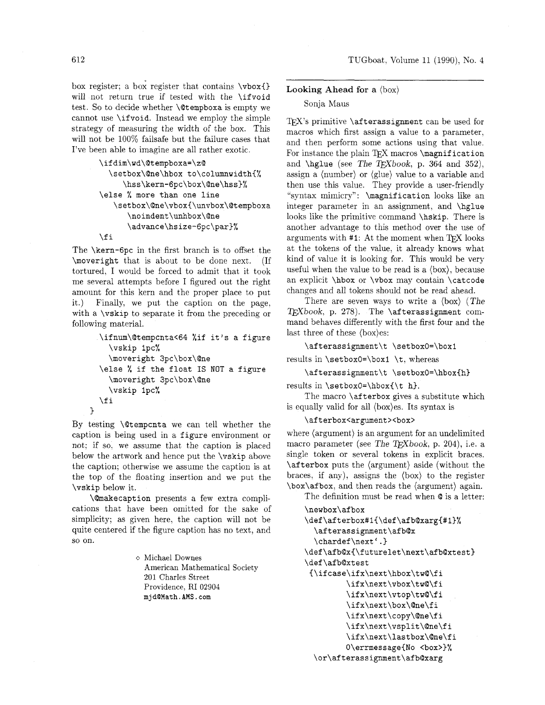box register: a box register that contains **\vbox{)**  will not return true if tested with the **\ifvoid**  test. So to decide whether **\@tempboxa** is empty we cannot use **\if void.** Instead we employ the simple strategy of measuring the width of the box. This will not be **100%** failsafe but the failure cases that I've been able to imagine are all rather exotic.

```
\ifdim\wd\Qtempboxa=\z@ 
  \setbox\@ne\hbox to\columnwidth{% 
     \hss\kern-6pc\box\@ne\hss)% 
\else % more than one line 
   \setbox\@ne\vbox{\unvbox\@tempboxa 
      \noindent\unhbox\@ne 
      \advance\hsize-6pc\par3%
```
#### **\f i**

**1** 

The **\kern-6pc** in the first branch is to offset the **\moveright** that is about to be done next. (If tortured, I would be forced to admit that it took me several attempts before I figured out the right amount for this kern and the proper place to put it.) Finally, we put the caption on the page. with a **\vskip** to separate it from the preceding or following material.

```
\ifnum\@tempcnta<64 %if it's a figure 
  \vskip lpc% 
  \moveright 3pc\box\@ne 
\else % if the float IS NOT a figure 
  \moveright 3pc\box\@ne 
  \vskip Ipc% 
\f i
```
By testing **\Otempcnta** we can tell whether the caption is being used in a **figure** environment or not; if so, we assume that the caption is placed below the artwork and hence put the **\vskip** above the caption; otherwise we assume the caption is at the top of the floating insertion and we put the **\vskip** below it.

**\@makecaption** presents a few extra complications that have been omitted for the sake of simplicity; as given here, the caption will not be quite centered if the figure caption has no text, and SO on.

> o Michael Downes American Mathematical Society 201 Charles Street Providence, RI 02904 mjdQMath. AMS . com

#### **Looking Ahead** for a (box)

#### Sonja Maus

T<sub>F</sub>X's primitive **\afterassignment** can be used for macros which first assign a value to a parameter, and then perform some actions using that value. For instance the plain TFX macros **\magnification** and  $\hbar$ glue (see *The TFXbook*, p. 364 and 352), assign a (number) or (glue) value to a variable and then use this value. They provide a user-friendly "syntax mimicry": **\magnification** looks like an integer parameter in an assignment, and **\hglue**  looks like the primitive command **\hskip.** There is another advantage to this method over the use of arguments with #1: At the moment when T<sub>F</sub>X looks at the tokens of the value. it already knows what kind of value it is looking for. This would be very useful when the value to be read is a (box), because an explicit **\hbox** or **\vbox** may contain **\catcode**  changes and all tokens should not be read ahead.

There are seven ways to write a (box) **(The**  T&Xbook, p. **278).** The **\afterassignment** command behaves differently with the first four and the last three of these (box)es:

**\afterassignment\t \setboxO=\boxl** 

results in **\setboxO=\boxl \t,** whereas

**\afterassignment\t \setboxO=\hbox{h)** 

results in **\setboxO=\hbox{\t h).** 

The macro **\afterbox** gives a substitute which is equally valid for all (box)es. Its syntax is

# \afterbox<argument><box>

where (argument) is an argument for an undelimited macro parameter (see The T<sub>F</sub>Xbook, p. 204), *i.e.* a single token or several tokens in explicit braces. **\afterbox** puts the (argument) aside (without the braces, if any), assigns the (box) to the register **\box\afbox,** and then reads the (argument) again.

The definition must be read when @ is a letter:

```
\newbox\af box 
\def\afterbox#1{\def\afb@xarg{#1}%
  \afterassignment\afb@x 
  \chardef\next'.}
\def\afb@x{\futurelet\next\afb@xtest) 
\def\afb@xtest 
~\ifcase\ifx\next\hbox\tw@\fi 
         \ifx\next\vbox\tw@\fi 
         \ifx\next\vtop\tw@\fi 
         \if x\next\box\@ne\f i 
         \ifx\next\copy\@ne\fi 
         \ifx\next\vsplit\@ne\fi 
         \ifx\next\lastbox\@ne\fi 
         0\errmessage{No <box>}%
 \or\afterassignment\afb@xarg
```